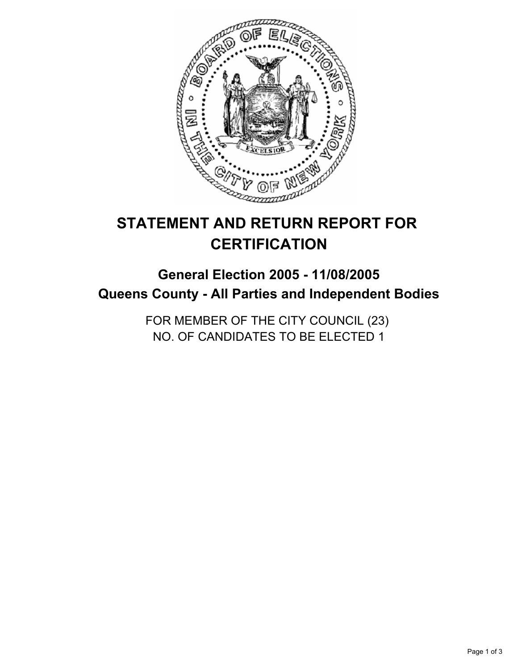

# **STATEMENT AND RETURN REPORT FOR CERTIFICATION**

## **General Election 2005 - 11/08/2005 Queens County - All Parties and Independent Bodies**

FOR MEMBER OF THE CITY COUNCIL (23) NO. OF CANDIDATES TO BE ELECTED 1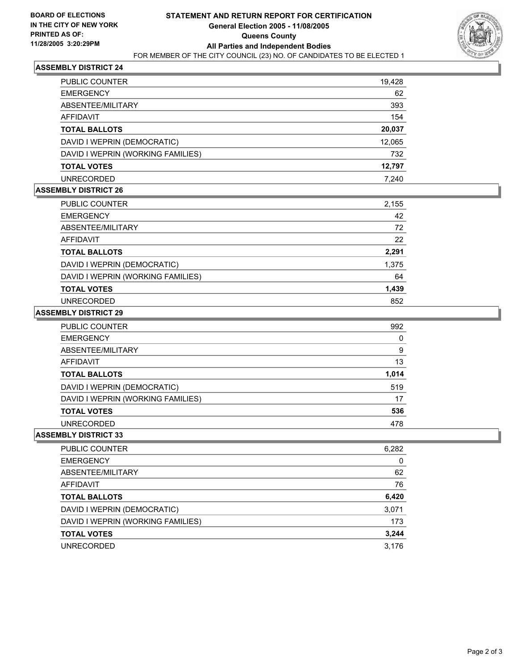

### **ASSEMBLY DISTRICT 24**

| <b>PUBLIC COUNTER</b>             | 19,428 |
|-----------------------------------|--------|
| <b>EMERGENCY</b>                  | 62     |
| ABSENTEE/MILITARY                 | 393    |
| AFFIDAVIT                         | 154    |
| <b>TOTAL BALLOTS</b>              | 20,037 |
| DAVID I WEPRIN (DEMOCRATIC)       | 12,065 |
| DAVID I WEPRIN (WORKING FAMILIES) | 732    |
| <b>TOTAL VOTES</b>                | 12,797 |
| <b>UNRECORDED</b>                 | 7.240  |

#### **ASSEMBLY DISTRICT 26**

| <b>PUBLIC COUNTER</b>             | 2,155 |
|-----------------------------------|-------|
| <b>EMERGENCY</b>                  | 42    |
| ABSENTEE/MILITARY                 | 72    |
| AFFIDAVIT                         | 22    |
| <b>TOTAL BALLOTS</b>              | 2,291 |
| DAVID I WEPRIN (DEMOCRATIC)       | 1,375 |
| DAVID I WEPRIN (WORKING FAMILIES) | 64    |
| <b>TOTAL VOTES</b>                | 1,439 |
| <b>UNRECORDED</b>                 | 852   |

#### **ASSEMBLY DISTRICT 29**

| PUBLIC COUNTER                    | 992   |
|-----------------------------------|-------|
| <b>EMERGENCY</b>                  |       |
| ABSENTEE/MILITARY                 | 9     |
| <b>AFFIDAVIT</b>                  | 13    |
| <b>TOTAL BALLOTS</b>              | 1,014 |
| DAVID I WEPRIN (DEMOCRATIC)       | 519   |
| DAVID I WEPRIN (WORKING FAMILIES) | 17    |
| <b>TOTAL VOTES</b>                | 536   |
| <b>UNRECORDED</b>                 | 478   |

#### **ASSEMBLY DISTRICT 33**

| PUBLIC COUNTER<br>6,282                  |
|------------------------------------------|
| <b>EMERGENCY</b>                         |
| 62<br>ABSENTEE/MILITARY                  |
| 76<br>AFFIDAVIT                          |
| 6,420<br><b>TOTAL BALLOTS</b>            |
| DAVID I WEPRIN (DEMOCRATIC)<br>3,071     |
| DAVID I WEPRIN (WORKING FAMILIES)<br>173 |
| 3,244<br><b>TOTAL VOTES</b>              |
| 3.176<br><b>UNRECORDED</b>               |